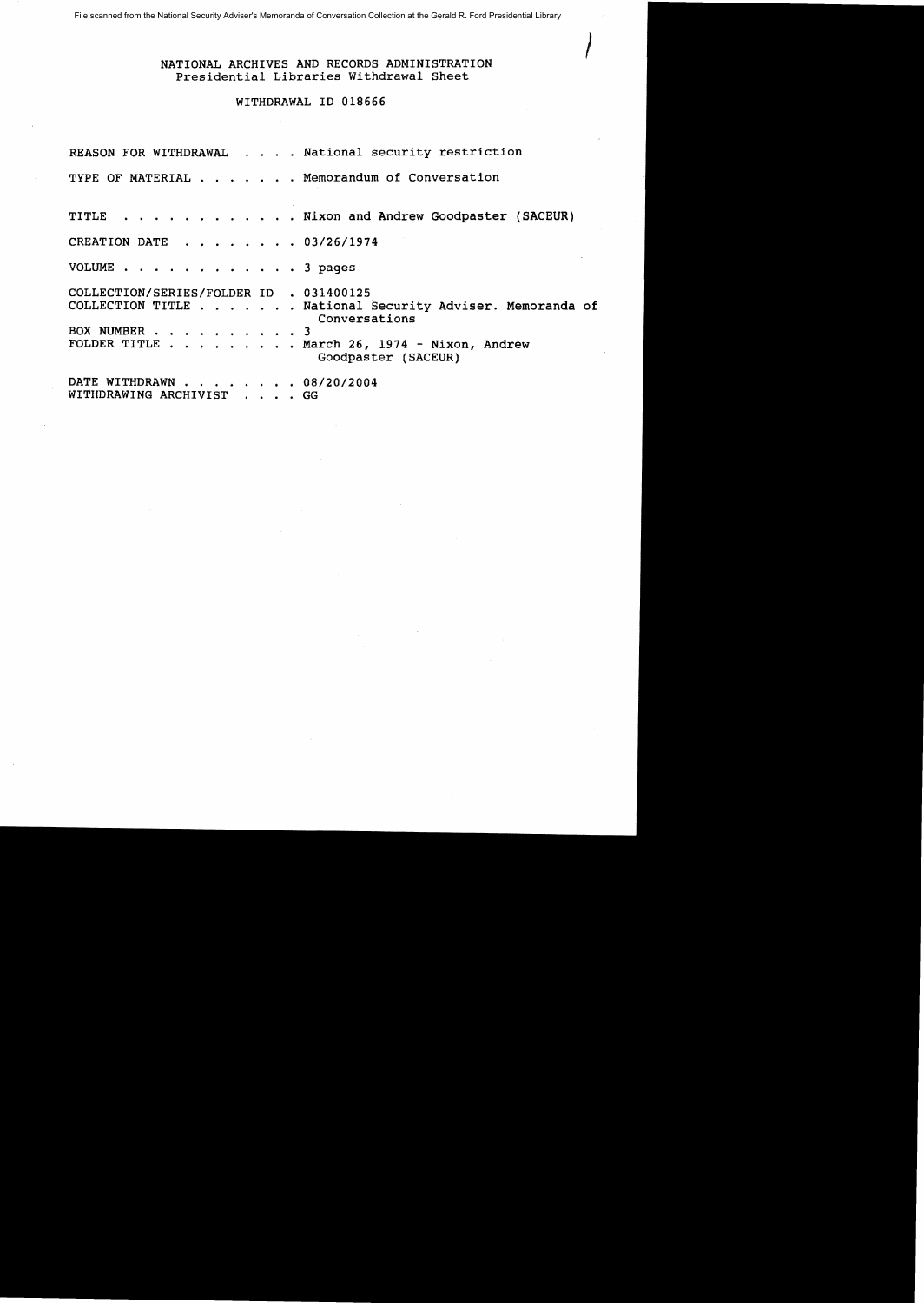File scanned from the National Security Adviser's Memoranda of Conversation Collection at the Gerald R. Ford Presidential Library

## NATIONAL ARCHIVES AND RECORDS ADMINISTRATION Presidential Libraries Withdrawal Sheet

*I* 

## WITHDRAWAL ID 018666

|                                                         | REASON FOR WITHDRAWAL National security restriction                                                                                             |
|---------------------------------------------------------|-------------------------------------------------------------------------------------------------------------------------------------------------|
|                                                         | TYPE OF MATERIAL Memorandum of Conversation                                                                                                     |
|                                                         | TITLE Nixon and Andrew Goodpaster (SACEUR)                                                                                                      |
| CREATION DATE 03/26/1974                                |                                                                                                                                                 |
| VOLUME 3 pages                                          |                                                                                                                                                 |
| COLLECTION/SERIES/FOLDER ID . 031400125<br>BOX NUMBER 3 | COLLECTION TITLE National Security Adviser. Memoranda of<br>Conversations<br>FOLDER TITLE March 26, 1974 - Nixon, Andrew<br>Goodpaster (SACEUR) |
| DATE WITHDRAWN 08/20/2004<br>WITHDRAWING ARCHIVIST GG   |                                                                                                                                                 |